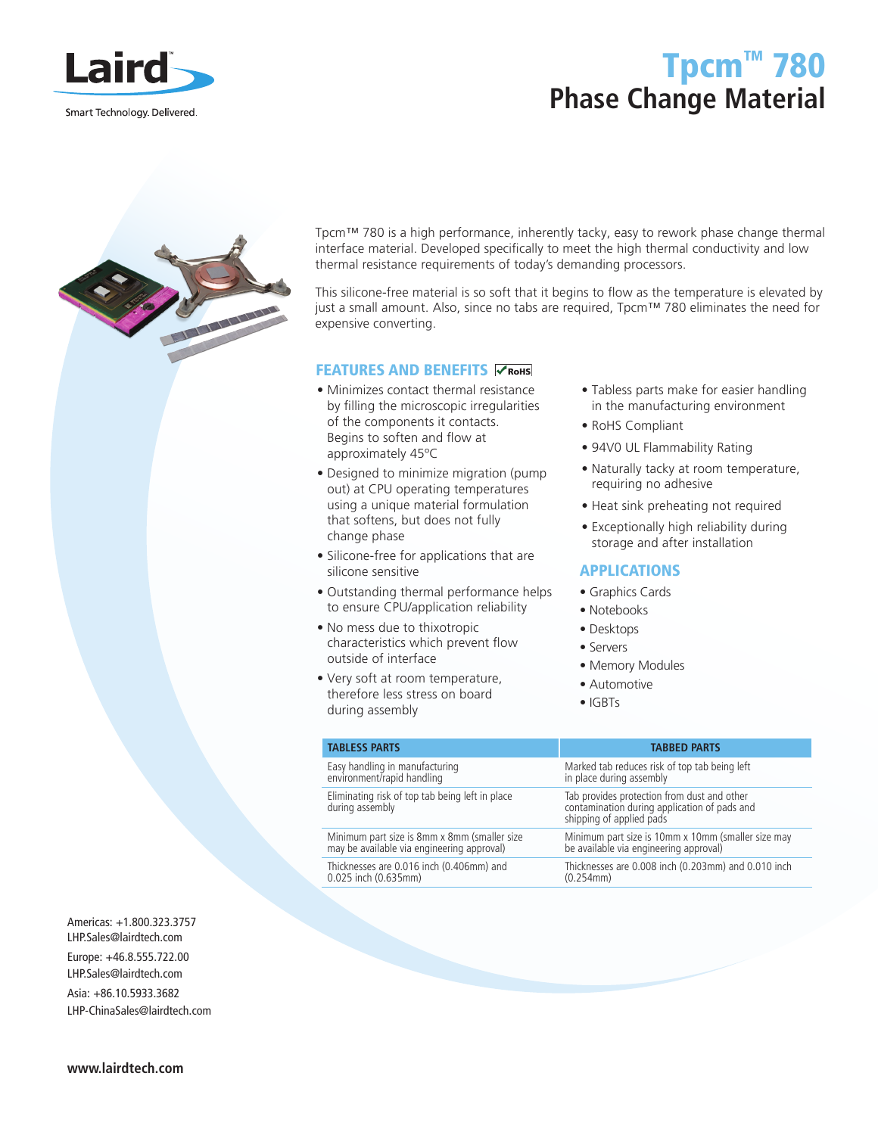

# Tpcm™ 780 **Phase Change Material**



Tpcm™ 780 is a high performance, inherently tacky, easy to rework phase change thermal interface material. Developed specifically to meet the high thermal conductivity and low thermal resistance requirements of today's demanding processors.

This silicone-free material is so soft that it begins to flow as the temperature is elevated by just a small amount. Also, since no tabs are required, Tpcm™ 780 eliminates the need for expensive converting.

### FEATURES AND BENEFITS **CROHS**

- Minimizes contact thermal resistance by filling the microscopic irregularities of the components it contacts. Begins to soften and flow at approximately 45ºC
- Designed to minimize migration (pump out) at CPU operating temperatures using a unique material formulation that softens, but does not fully change phase
- Silicone-free for applications that are silicone sensitive
- Outstanding thermal performance helps to ensure CPU/application reliability
- No mess due to thixotropic characteristics which prevent flow outside of interface
- Very soft at room temperature, therefore less stress on board during assembly
- Tabless parts make for easier handling in the manufacturing environment
- RoHS Compliant
- 94V0 UL Flammability Rating
- Naturally tacky at room temperature, requiring no adhesive
- Heat sink preheating not required
- Exceptionally high reliability during storage and after installation

## APPLICATIONS

- Graphics Cards
- Notebooks
- Desktops
- Servers
- Memory Modules
- Automotive
- IGBTs

| <b>TABLESS PARTS</b>                                                                    | <b>TABBED PARTS</b>                                                                                                     |
|-----------------------------------------------------------------------------------------|-------------------------------------------------------------------------------------------------------------------------|
| Easy handling in manufacturing<br>environment/rapid handling                            | Marked tab reduces risk of top tab being left<br>in place during assembly                                               |
| Eliminating risk of top tab being left in place<br>during assembly                      | Tab provides protection from dust and other<br>contamination during application of pads and<br>shipping of applied pads |
| Minimum part size is 8mm x 8mm (smaller size may be available via engineering approval) | Minimum part size is 10mm x 10mm (smaller size may<br>be available via engineering approval)                            |
| Thicknesses are 0.016 inch (0.406mm) and<br>0.025 inch (0.635mm)                        | Thicknesses are 0.008 inch (0.203mm) and 0.010 inch<br>(0.254mm)                                                        |

Americas: +1.800.323.3757 LHP.Sales@lairdtech.com Europe: +46.8.555.722.00 LHP.Sales@lairdtech.com Asia: +86.10.5933.3682 LHP-ChinaSales@lairdtech.com